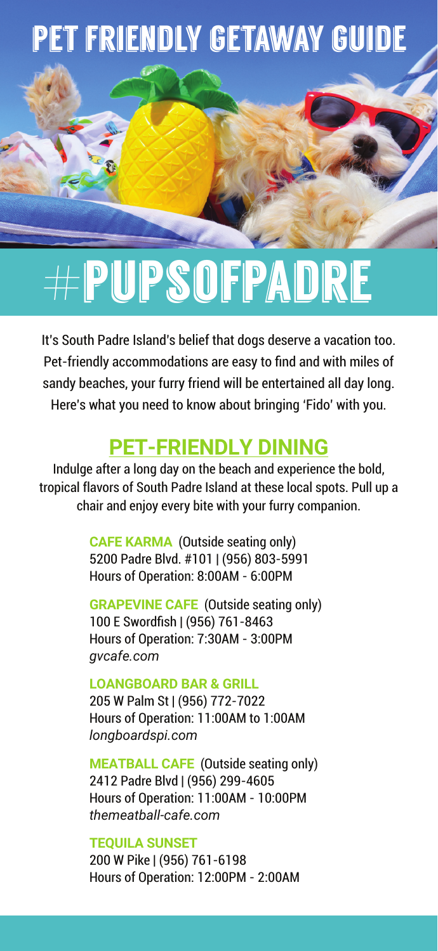## pet friendly getaway guide

# #PUPSOFPADRE

It's South Padre Island's belief that dogs deserve a vacation too. Pet-friendly accommodations are easy to find and with miles of sandy beaches, your furry friend will be entertained all day long. Here's what you need to know about bringing 'Fido' with you.

## **PET-FRIENDLY DINING**

Indulge after a long day on the beach and experience the bold, tropical flavors of South Padre Island at these local spots. Pull up a chair and enjoy every bite with your furry companion.

> **CAFE KARMA** (Outside seating only) 5200 Padre Blvd. #101 | (956) 803-5991 Hours of Operation: 8:00AM - 6:00PM

**GRAPEVINE CAFE** (Outside seating only) 100 E Swordfish | (956) 761-8463 Hours of Operation: 7:30AM - 3:00PM *gvcafe.com*

#### **LOANGBOARD BAR & GRILL**

205 W Palm St | (956) 772-7022 Hours of Operation: 11:00AM to 1:00AM *longboardspi.com*

**MEATBALL CAFE** (Outside seating only) 2412 Padre Blvd | (956) 299-4605 Hours of Operation: 11:00AM - 10:00PM *themeatball-cafe.com*

#### **TEQUILA SUNSET**

200 W Pike | (956) 761-6198 Hours of Operation: 12:00PM - 2:00AM